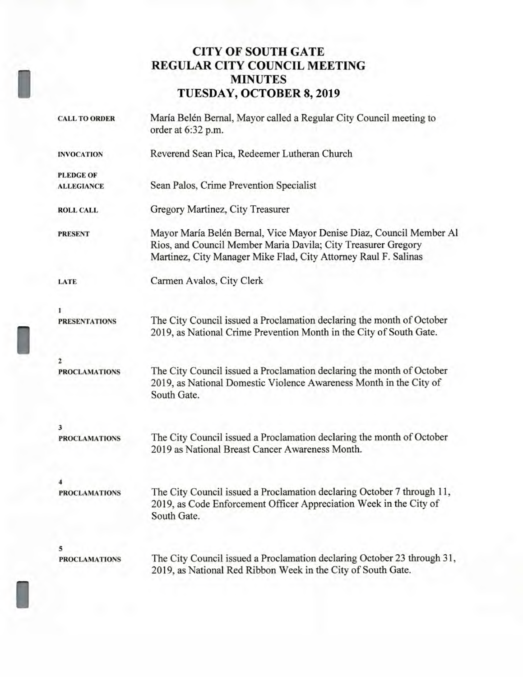# **CITY OF SOUTH GATE REGULAR CITY COUNCIL MEETING MINUTES TUESDAY, OCTOBER 8, 2019**

I

I

|  | <b>CALL TO ORDER</b>                  | María Belén Bernal, Mayor called a Regular City Council meeting to<br>order at 6:32 p.m.                                                                                                                |
|--|---------------------------------------|---------------------------------------------------------------------------------------------------------------------------------------------------------------------------------------------------------|
|  | <b>INVOCATION</b>                     | Reverend Sean Pica, Redeemer Lutheran Church                                                                                                                                                            |
|  | <b>PLEDGE OF</b><br><b>ALLEGIANCE</b> | Sean Palos, Crime Prevention Specialist                                                                                                                                                                 |
|  | <b>ROLL CALL</b>                      | Gregory Martinez, City Treasurer                                                                                                                                                                        |
|  | <b>PRESENT</b>                        | Mayor María Belén Bernal, Vice Mayor Denise Diaz, Council Member Al<br>Rios, and Council Member Maria Davila; City Treasurer Gregory<br>Martinez, City Manager Mike Flad, City Attorney Raul F. Salinas |
|  | LATE                                  | Carmen Avalos, City Clerk                                                                                                                                                                               |
|  | <b>PRESENTATIONS</b>                  | The City Council issued a Proclamation declaring the month of October<br>2019, as National Crime Prevention Month in the City of South Gate.                                                            |
|  | 2<br><b>PROCLAMATIONS</b>             | The City Council issued a Proclamation declaring the month of October<br>2019, as National Domestic Violence Awareness Month in the City of<br>South Gate.                                              |
|  | 3<br><b>PROCLAMATIONS</b>             | The City Council issued a Proclamation declaring the month of October<br>2019 as National Breast Cancer Awareness Month.                                                                                |
|  | <b>PROCLAMATIONS</b>                  | The City Council issued a Proclamation declaring October 7 through 11,<br>2019, as Code Enforcement Officer Appreciation Week in the City of<br>South Gate.                                             |
|  | 5<br><b>PROCLAMATIONS</b>             | The City Council issued a Proclamation declaring October 23 through 31,<br>2019, as National Red Ribbon Week in the City of South Gate.                                                                 |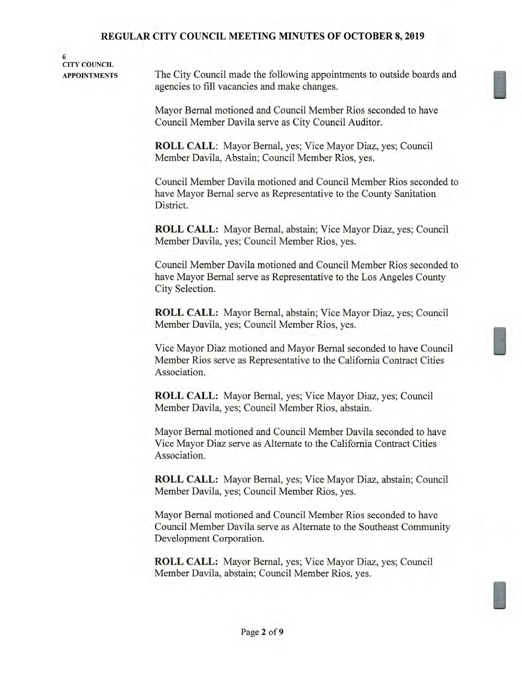**6 CITY COUNCIL** 

**APPOINTMENTS** The City Council made the following appointments to outside boards and agencies to fill vacancies and make changes.

> Mayor Bernal motioned and Council Member Rios seconded to have Council Member Davila serve as City Council Auditor.

**ROLL CALL:** Mayor Bernal, yes; Vice Mayor Diaz, yes; Council Member Davila, Abstain; Council Member Rios, yes.

Council Member Davila motioned and Council Member Rios seconded to have Mayor Bernal serve as Representative to the County Sanitation District.

**ROLL CALL:** Mayor Bernal, abstain; Vice Mayor Diaz, yes; Council Member Davila, yes; Council Member Rios, yes.

Council Member Davila motioned and Council Member Rios seconded to have Mayor Bernal serve as Representative to the Los Angeles County City Selection.

**ROLL CALL:** Mayor Bernal, abstain; Vice Mayor Diaz, yes; Council Member Davila, yes; Council Member Rios, yes.

Vice Mayor Diaz motioned and Mayor Bernal seconded to have Council Member Rios serve as Representative to the California Contract Cities Association.

**ROLL CALL:** Mayor Bernal, yes; Vice Mayor Diaz, yes; Council Member Davila, yes; Council Member Rios, abstain.

Mayor Bernal motioned and Council Member Davila seconded to have Vice Mayor Diaz serve as Alternate to the California Contract Cities Association.

**ROLL CALL:** Mayor Bernal, yes; Vice Mayor Diaz, abstain; Council Member Davila, yes; Council Member Rios, yes.

Mayor Bernal motioned and Council Member Rios seconded to have Council Member Davila serve as Alternate to the Southeast Community Development Corporation.

**ROLL CALL:** Mayor Bernal, yes; Vice Mayor Diaz, yes; Council Member Davila, abstain; Council Member Rios, yes.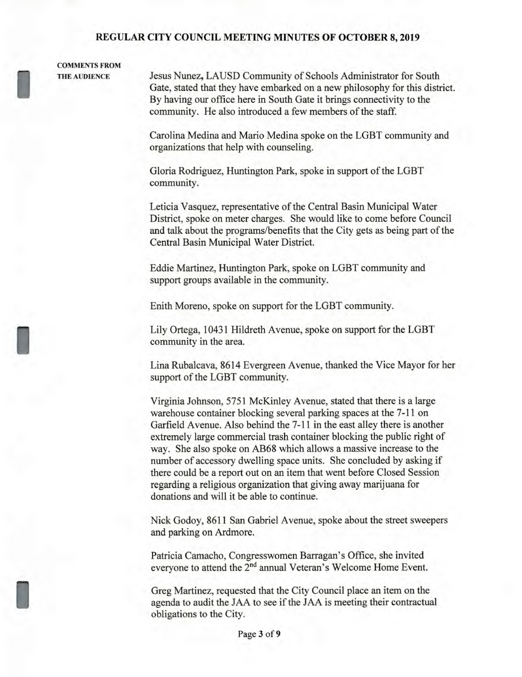# **COMMENTS FROM**

I

I

**I** 

**THE AUDIENCE** Jesus Nunez, LAUSD Community of Schools Administrator for South Gate, stated that they have embarked on a new philosophy for this district. By having our office here in South Gate it brings connectivity to the community. He also introduced a few members of the staff.

> Carolina Medina and Mario Medina spoke on the LGBT community and organizations that help with counseling.

Gloria Rodriguez, Huntington Park, spoke in support of the LGBT community.

Leticia Vasquez, representative of the Central Basin Municipal Water District, spoke on meter charges. She would like to come before Council and talk about the programs/benefits that the City gets as being part of the Central Basin Municipal Water District.

Eddie Martinez, Huntington Park, spoke on LGBT community and support groups available in the community.

Enith Moreno, spoke on support for the LGBT community.

Lily Ortega, 10431 Hildreth Avenue, spoke on support for the LGBT community in the area.

Lina Rubalcava, 8614 Evergreen Avenue, thanked the Vice Mayor for her support of the LGBT community.

Virginia Johnson, 5751 McKinley Avenue, stated that there is a large warehouse container blocking several parking spaces at the 7-11 on Garfield Avenue. Also behind the 7-11 in the east alley there is another extremely large commercial trash container blocking the public right of way. She also spoke on AB68 which allows a massive increase to the number of accessory dwelling space units. She concluded by asking if there could be a report out on an item that went before Closed Session regarding a religious organization that giving away marijuana for donations and will it be able to continue.

Nick Godoy, 8611 San Gabriel Avenue, spoke about the street sweepers and parking on Ardmore.

Patricia Camacho, Congresswomen Barragan's Office, she invited everyone to attend the 2<sup>nd</sup> annual Veteran's Welcome Home Event.

Greg Martinez, requested that the City Council place an item on the agenda to audit the JAA to see if the JAA is meeting their contractual obligations to the City.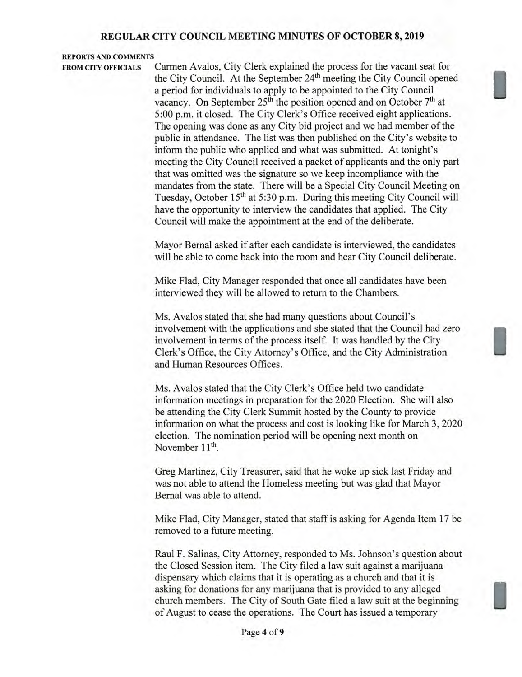## **REPORTS AND COMMENTS**

**FROM CITY OFFICIALS** Carmen Avalos, City Clerk explained the process for the vacant seat for the City Council. At the September 24<sup>th</sup> meeting the City Council opened a period for individuals to apply to be appointed to the City Council vacancy. On September 25<sup>th</sup> the position opened and on October 7<sup>th</sup> at 5:00 p.m. it closed. The City Clerk's Office received eight applications. The opening was done as any City bid project and we had member of the public in attendance. The list was then published on the City's website to inform the public who applied and what was submitted. At tonight's meeting the City Council received a packet of applicants and the only part that was omitted was the signature so we keep incompliance with the mandates from the state. There will be a Special City Council Meeting on Tuesday, October 15<sup>th</sup> at 5:30 p.m. During this meeting City Council will have the opportunity to interview the candidates that applied. The City Council will make the appointment at the end of the deliberate.

> Mayor Bernal asked if after each candidate is interviewed, the candidates will be able to come back into the room and hear City Council deliberate.

Mike Flad, City Manager responded that once all candidates have been interviewed they will be allowed to return to the Chambers.

Ms. Avalos stated that she had many questions about Council's involvement with the applications and she stated that the Council had zero involvement in terms of the process itself. It was handled by the City Clerk's Office, the City Attorney's Office, and the City Administration and Human Resources Offices.

Ms. Avalos stated that the City Clerk's Office held two candidate information meetings in preparation for the 2020 Election. She will also be attending the City Clerk Summit hosted by the County to provide information on what the process and cost is looking like for March 3, 2020 election. The nomination period will be opening next month on November  $11<sup>th</sup>$ .

Greg Martinez, City Treasurer, said that he woke up sick last Friday and was not able to attend the Homeless meeting but was glad that Mayor Bernal was able to attend.

Mike Flad, City Manager, stated that staff is asking for Agenda Item 17 be removed to a future meeting.

Raul F. Salinas, City Attorney, responded to Ms. Johnson's question about the Closed Session item. The City filed a law suit against a marijuana dispensary which claims that it is operating as a church and that it is asking for donations for any marijuana that is provided to any alleged church members. The City of South Gate filed a law suit at the beginning of August to cease the operations. The Court has issued a temporary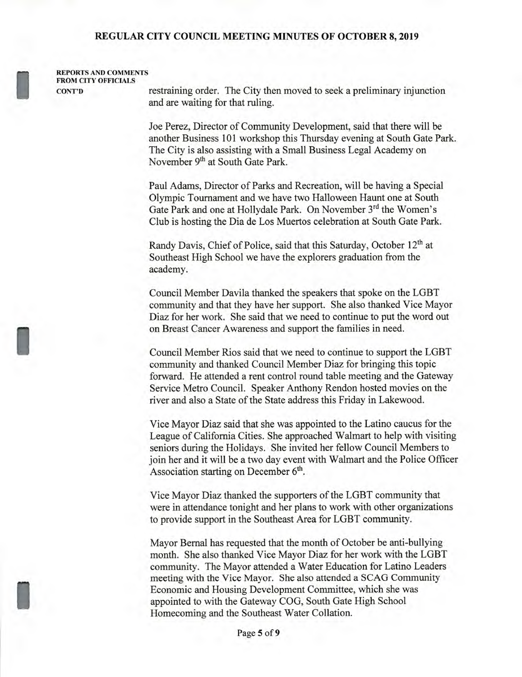**REPORTS AND COMMENTS FROM CITY OFFICIALS** 

**CONT'D** restraining order. The City then moved to seek a preliminary injunction and are waiting for that ruling.

> Joe Perez, Director of Community Development, said that there will be another Business 101 workshop this Thursday evening at South Gate Park. The City is also assisting with a Small Business Legal Academy on November **9th** at South Gate Park.

Paul Adams, Director of Parks and Recreation, will be having a Special Olympic Tournament and we have two Halloween Haunt one at South Gate Park and one at Hollydale Park. On November 3rd the Women's Club is hosting the Dia de Los Muertos celebration at South Gate Park.

Randy Davis, Chief of Police, said that this Saturday, October **12th** at Southeast High School we have the explorers graduation from the academy.

Council Member Davila thanked the speakers that spoke on the LGBT community and that they have her support. She also thanked Vice Mayor Diaz for her work. She said that we need to continue to put the word out on Breast Cancer Awareness and support the families in need.

Council Member Rios said that we need to continue to support the LGBT community and thanked Council Member Diaz for bringing this topic forward. He attended a rent control round table meeting and the Gateway Service Metro Council. Speaker Anthony Rendon hosted movies on the river and also a State of the State address this Friday in Lakewood.

Vice Mayor Diaz said that she was appointed to the Latino caucus for the League of California Cities. She approached Walmart to help with visiting seniors during the Holidays. She invited her fellow Council Members to join her and it will be a two day event with Walmart and the Police Officer Association starting on December  $6<sup>th</sup>$ .

Vice Mayor Diaz thanked the supporters of the LGBT community that were in attendance tonight and her plans to work with other organizations to provide support in the Southeast Area for LGBT community.

Mayor Bernal has requested that the month of October be anti-bullying month. She also thanked Vice Mayor Diaz for her work with the LGBT community. The Mayor attended a Water Education for Latino Leaders meeting with the Vice Mayor. She also attended a SCAG Community Economic and Housing Development Committee, which she was appointed to with the Gateway COG, South Gate High School Homecoming and the Southeast Water Collation.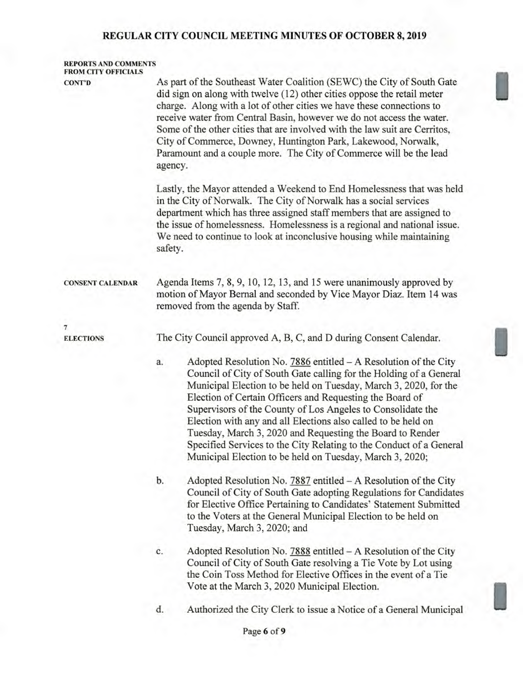| <b>REPORTS AND COMMENTS</b><br><b>FROM CITY OFFICIALS</b> |                                                                                                                                                                                                                                                                                                                                                                                                                                                                                                                                                                                                             |  |
|-----------------------------------------------------------|-------------------------------------------------------------------------------------------------------------------------------------------------------------------------------------------------------------------------------------------------------------------------------------------------------------------------------------------------------------------------------------------------------------------------------------------------------------------------------------------------------------------------------------------------------------------------------------------------------------|--|
| <b>CONT'D</b>                                             | As part of the Southeast Water Coalition (SEWC) the City of South Gate<br>did sign on along with twelve (12) other cities oppose the retail meter<br>charge. Along with a lot of other cities we have these connections to<br>receive water from Central Basin, however we do not access the water.<br>Some of the other cities that are involved with the law suit are Cerritos,<br>City of Commerce, Downey, Huntington Park, Lakewood, Norwalk,<br>Paramount and a couple more. The City of Commerce will be the lead<br>agency.                                                                         |  |
|                                                           | Lastly, the Mayor attended a Weekend to End Homelessness that was held<br>in the City of Norwalk. The City of Norwalk has a social services<br>department which has three assigned staff members that are assigned to<br>the issue of homelessness. Homelessness is a regional and national issue.<br>We need to continue to look at inconclusive housing while maintaining<br>safety.                                                                                                                                                                                                                      |  |
| <b>CONSENT CALENDAR</b>                                   | Agenda Items 7, 8, 9, 10, 12, 13, and 15 were unanimously approved by<br>motion of Mayor Bernal and seconded by Vice Mayor Diaz. Item 14 was<br>removed from the agenda by Staff.                                                                                                                                                                                                                                                                                                                                                                                                                           |  |
| $\overline{7}$                                            |                                                                                                                                                                                                                                                                                                                                                                                                                                                                                                                                                                                                             |  |
| <b>ELECTIONS</b>                                          | The City Council approved A, B, C, and D during Consent Calendar.                                                                                                                                                                                                                                                                                                                                                                                                                                                                                                                                           |  |
|                                                           | Adopted Resolution No. 7886 entitled – A Resolution of the City<br>a.<br>Council of City of South Gate calling for the Holding of a General<br>Municipal Election to be held on Tuesday, March 3, 2020, for the<br>Election of Certain Officers and Requesting the Board of<br>Supervisors of the County of Los Angeles to Consolidate the<br>Election with any and all Elections also called to be held on<br>Tuesday, March 3, 2020 and Requesting the Board to Render<br>Specified Services to the City Relating to the Conduct of a General<br>Municipal Election to be held on Tuesday, March 3, 2020; |  |
|                                                           | b.<br>Adopted Resolution No. 7887 entitled - A Resolution of the City<br>Council of City of South Gate adopting Regulations for Candidates<br>for Elective Office Pertaining to Candidates' Statement Submitted<br>to the Voters at the General Municipal Election to be held on<br>Tuesday, March 3, 2020; and                                                                                                                                                                                                                                                                                             |  |
|                                                           | Adopted Resolution No. $7888$ entitled $-A$ Resolution of the City<br>c.<br>Council of City of South Gate resolving a Tie Vote by Lot using<br>the Coin Toss Method for Elective Offices in the event of a Tie<br>Vote at the March 3, 2020 Municipal Election.                                                                                                                                                                                                                                                                                                                                             |  |
|                                                           | Authorized the City Clerk to issue a Notice of a General Municipal<br>d.                                                                                                                                                                                                                                                                                                                                                                                                                                                                                                                                    |  |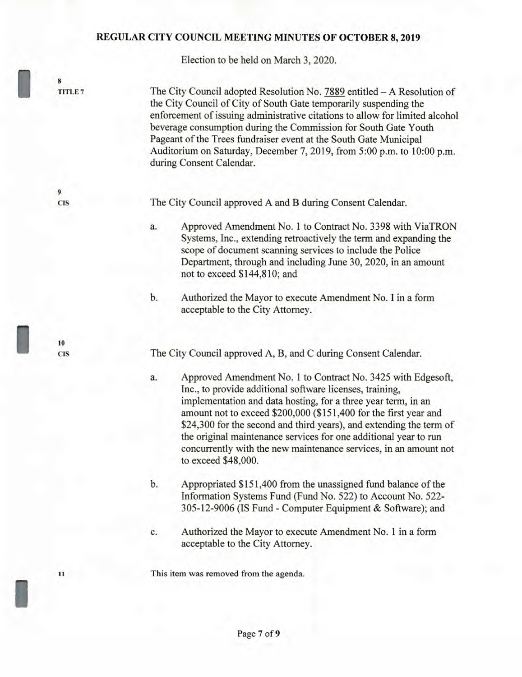Election to be held on March 3, 2020.

I **<sup>8</sup>**

**9** 

**TITLE 7** The City Council adopted Resolution No. 7889 entitled — A Resolution of the City Council of City of South Gate temporarily suspending the enforcement of issuing administrative citations to allow for limited alcohol beverage consumption during the Commission for South Gate Youth Pageant of the Trees fundraiser event at the South Gate Municipal Auditorium on Saturday, December 7, 2019, from 5:00 p.m. to 10:00 p.m. during Consent Calendar.

**CIS** The City Council approved A and B during Consent Calendar.

a. Approved Amendment No. 1 to Contract No. 3398 with ViaTRON Systems, Inc., extending retroactively the term and expanding the scope of document scanning services to include the Police Department, through and including June 30, 2020, in an amount not to exceed \$144,810; and

b. Authorized the Mayor to execute Amendment No. I in a form acceptable to the City Attorney.

The City Council approved A, B, and C during Consent Calendar.

a. Approved Amendment No. 1 to Contract No. 3425 with Edgesoft, Inc., to provide additional software licenses, training, implementation and data hosting, for a three year term, in an amount not to exceed \$200,000 (\$151,400 for the first year and \$24,300 for the second and third years), and extending the term of the original maintenance services for one additional year to run concurrently with the new maintenance services, in an amount not to exceed \$48,000.

b. Appropriated \$151,400 from the unassigned fund balance of the Information Systems Fund (Fund No. 522) to Account No. 522- 305-12-9006 (IS Fund - Computer Equipment & Software); and

c. Authorized the Mayor to execute Amendment No. 1 in a form acceptable to the City Attorney.

**11 This item was removed from the agenda.** 

**10**<br>CIS

I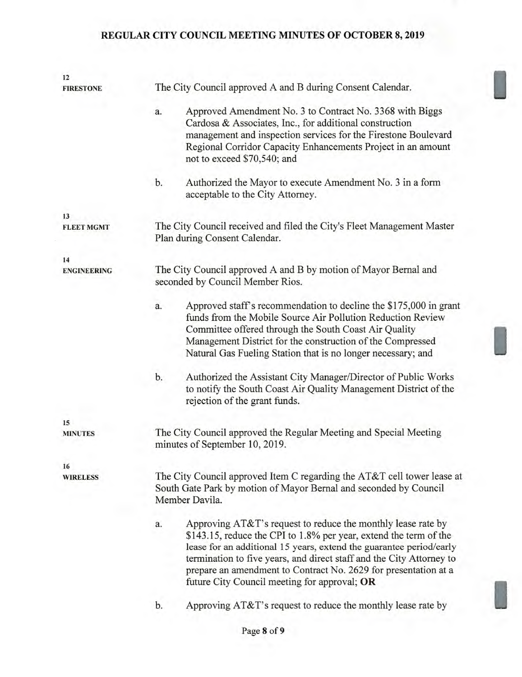| 12                 |                                                                                                                                                                                                                                                                                                                                                                                                           |  |
|--------------------|-----------------------------------------------------------------------------------------------------------------------------------------------------------------------------------------------------------------------------------------------------------------------------------------------------------------------------------------------------------------------------------------------------------|--|
| <b>FIRESTONE</b>   | The City Council approved A and B during Consent Calendar.                                                                                                                                                                                                                                                                                                                                                |  |
|                    | Approved Amendment No. 3 to Contract No. 3368 with Biggs<br>a.<br>Cardosa & Associates, Inc., for additional construction<br>management and inspection services for the Firestone Boulevard<br>Regional Corridor Capacity Enhancements Project in an amount<br>not to exceed \$70,540; and                                                                                                                |  |
|                    | Authorized the Mayor to execute Amendment No. 3 in a form<br>b.<br>acceptable to the City Attorney.                                                                                                                                                                                                                                                                                                       |  |
| 13                 |                                                                                                                                                                                                                                                                                                                                                                                                           |  |
| <b>FLEET MGMT</b>  | The City Council received and filed the City's Fleet Management Master<br>Plan during Consent Calendar.                                                                                                                                                                                                                                                                                                   |  |
| 14                 |                                                                                                                                                                                                                                                                                                                                                                                                           |  |
| <b>ENGINEERING</b> | The City Council approved A and B by motion of Mayor Bernal and<br>seconded by Council Member Rios.                                                                                                                                                                                                                                                                                                       |  |
|                    | Approved staff's recommendation to decline the \$175,000 in grant<br>a.<br>funds from the Mobile Source Air Pollution Reduction Review<br>Committee offered through the South Coast Air Quality<br>Management District for the construction of the Compressed<br>Natural Gas Fueling Station that is no longer necessary; and                                                                             |  |
|                    | Authorized the Assistant City Manager/Director of Public Works<br>b.<br>to notify the South Coast Air Quality Management District of the<br>rejection of the grant funds.                                                                                                                                                                                                                                 |  |
| 15                 |                                                                                                                                                                                                                                                                                                                                                                                                           |  |
| <b>MINUTES</b>     | The City Council approved the Regular Meeting and Special Meeting<br>minutes of September 10, 2019.                                                                                                                                                                                                                                                                                                       |  |
| 16                 |                                                                                                                                                                                                                                                                                                                                                                                                           |  |
| <b>WIRELESS</b>    | The City Council approved Item C regarding the AT&T cell tower lease at<br>South Gate Park by motion of Mayor Bernal and seconded by Council<br>Member Davila.                                                                                                                                                                                                                                            |  |
|                    | Approving AT&T's request to reduce the monthly lease rate by<br>a.<br>\$143.15, reduce the CPI to 1.8% per year, extend the term of the<br>lease for an additional 15 years, extend the guarantee period/early<br>termination to five years, and direct staff and the City Attorney to<br>prepare an amendment to Contract No. 2629 for presentation at a<br>future City Council meeting for approval; OR |  |
|                    | Approving AT&T's request to reduce the monthly lease rate by<br>b.                                                                                                                                                                                                                                                                                                                                        |  |
|                    |                                                                                                                                                                                                                                                                                                                                                                                                           |  |